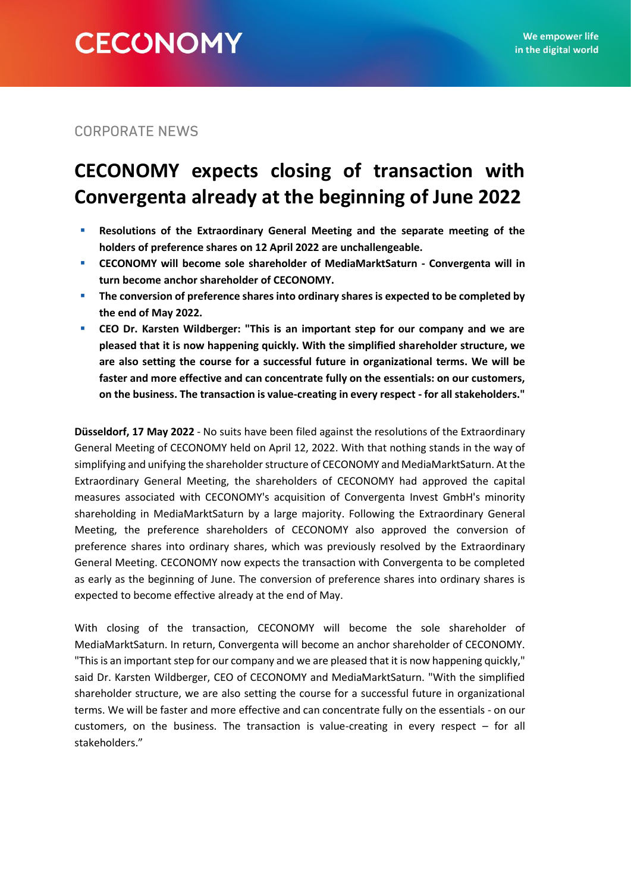**CORPORATE NEWS** 

# **CECONOMY expects closing of transaction with Convergenta already at the beginning of June 2022**

- **EXECUTE:** Resolutions of the Extraordinary General Meeting and the separate meeting of the **holders of preference shares on 12 April 2022 are unchallengeable.**
- **CECONOMY will become sole shareholder of MediaMarktSaturn - Convergenta will in turn become anchor shareholder of CECONOMY.**
- **E** The conversion of preference shares into ordinary shares is expected to be completed by **the end of May 2022.**
- **CEO Dr. Karsten Wildberger: "This is an important step for our company and we are pleased that it is now happening quickly. With the simplified shareholder structure, we are also setting the course for a successful future in organizational terms. We will be faster and more effective and can concentrate fully on the essentials: on our customers, on the business. The transaction is value-creating in every respect - for all stakeholders."**

**Düsseldorf, 17 May 2022** - No suits have been filed against the resolutions of the Extraordinary General Meeting of CECONOMY held on April 12, 2022. With that nothing stands in the way of simplifying and unifying the shareholder structure of CECONOMY and MediaMarktSaturn. At the Extraordinary General Meeting, the shareholders of CECONOMY had approved the capital measures associated with CECONOMY's acquisition of Convergenta Invest GmbH's minority shareholding in MediaMarktSaturn by a large majority. Following the Extraordinary General Meeting, the preference shareholders of CECONOMY also approved the conversion of preference shares into ordinary shares, which was previously resolved by the Extraordinary General Meeting. CECONOMY now expects the transaction with Convergenta to be completed as early as the beginning of June. The conversion of preference shares into ordinary shares is expected to become effective already at the end of May.

With closing of the transaction, CECONOMY will become the sole shareholder of MediaMarktSaturn. In return, Convergenta will become an anchor shareholder of CECONOMY. "This is an important step for our company and we are pleased that it is now happening quickly," said Dr. Karsten Wildberger, CEO of CECONOMY and MediaMarktSaturn. "With the simplified shareholder structure, we are also setting the course for a successful future in organizational terms. We will be faster and more effective and can concentrate fully on the essentials - on our customers, on the business. The transaction is value-creating in every respect – for all stakeholders."